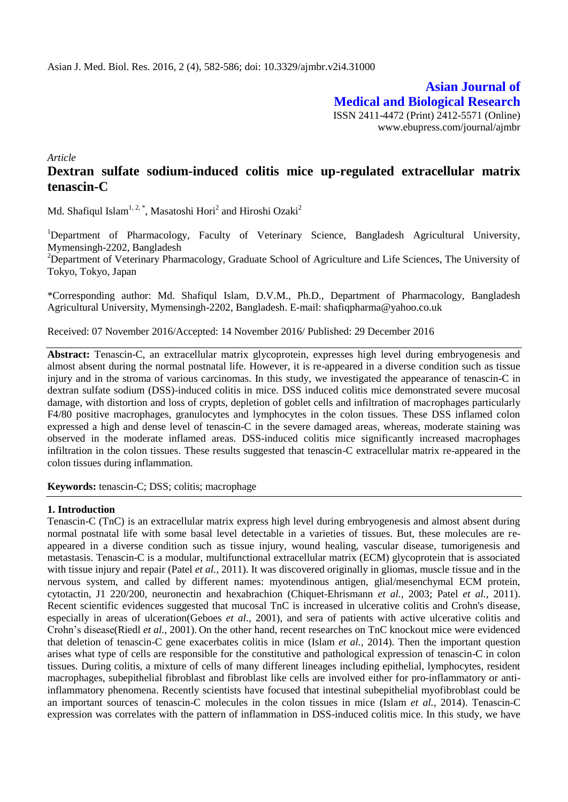**Asian Journal of Medical and Biological Research** ISSN 2411-4472 (Print) 2412-5571 (Online) www.ebupress.com/journal/ajmbr

*Article*

# **Dextran sulfate sodium-induced colitis mice up-regulated extracellular matrix tenascin-C**

Md. Shafiqul Islam $^{1,\,2,\,*}$ , Masatoshi Hori $^2$  and Hiroshi Ozaki $^2$ 

<sup>1</sup>Department of Pharmacology, Faculty of Veterinary Science, Bangladesh Agricultural University, Mymensingh-2202, Bangladesh

<sup>2</sup>Department of Veterinary Pharmacology, Graduate School of Agriculture and Life Sciences, The University of Tokyo, Tokyo, Japan

\*Corresponding author: Md. Shafiqul Islam, D.V.M., Ph.D., Department of Pharmacology, Bangladesh Agricultural University, Mymensingh-2202, Bangladesh. E-mail: [shafiqpharma@yahoo.co.uk](mailto:shafiqpharma@yahoo.co.uk)

Received: 07 November 2016/Accepted: 14 November 2016/ Published: 29 December 2016

Abstract: Tenascin-C, an extracellular matrix glycoprotein, expresses high level during embryogenesis and almost absent during the normal postnatal life. However, it is re-appeared in a diverse condition such as tissue injury and in the stroma of various carcinomas. In this study, we investigated the appearance of tenascin-C in dextran sulfate sodium (DSS)-induced colitis in mice. DSS induced colitis mice demonstrated severe mucosal damage, with distortion and loss of crypts, depletion of goblet cells and infiltration of macrophages particularly F4/80 positive macrophages, granulocytes and lymphocytes in the colon tissues. These DSS inflamed colon expressed a high and dense level of tenascin-C in the severe damaged areas, whereas, moderate staining was observed in the moderate inflamed areas. DSS-induced colitis mice significantly increased macrophages infiltration in the colon tissues. These results suggested that tenascin-C extracellular matrix re-appeared in the colon tissues during inflammation.

**Keywords:** tenascin-C; DSS; colitis; macrophage

## **1. Introduction**

Tenascin-C (TnC) is an extracellular matrix express high level during embryogenesis and almost absent during normal postnatal life with some basal level detectable in a varieties of tissues. But, these molecules are reappeared in a diverse condition such as tissue injury, wound healing, vascular disease, tumorigenesis and metastasis. Tenascin-C is a modular, multifunctional extracellular matrix (ECM) glycoprotein that is associated with tissue injury and repair (Patel *et al.*, 2011). It was discovered originally in gliomas, muscle tissue and in the nervous system, and called by different names: myotendinous antigen, glial/mesenchymal ECM protein, cytotactin, J1 220/200, neuronectin and hexabrachion (Chiquet-Ehrismann *et al.*, 2003; Patel *et al.,* 2011). Recent scientific evidences suggested that mucosal TnC is increased in ulcerative colitis and Crohn's disease, especially in areas of ulceration(Geboes *et al.*, 2001), and sera of patients with active ulcerative colitis and Crohn's disease(Riedl *et al.*, 2001). On the other hand, recent researches on TnC knockout mice were evidenced that deletion of tenascin-C gene exacerbates colitis in mice (Islam *et al.,* 2014). Then the important question arises what type of cells are responsible for the constitutive and pathological expression of tenascin-C in colon tissues. During colitis, a mixture of cells of many different lineages including epithelial, lymphocytes, resident macrophages, subepithelial fibroblast and fibroblast like cells are involved either for pro-inflammatory or antiinflammatory phenomena. Recently scientists have focused that intestinal subepithelial myofibroblast could be an important sources of tenascin-C molecules in the colon tissues in mice (Islam *et al.,* 2014). Tenascin-C expression was correlates with the pattern of inflammation in DSS-induced colitis mice. In this study, we have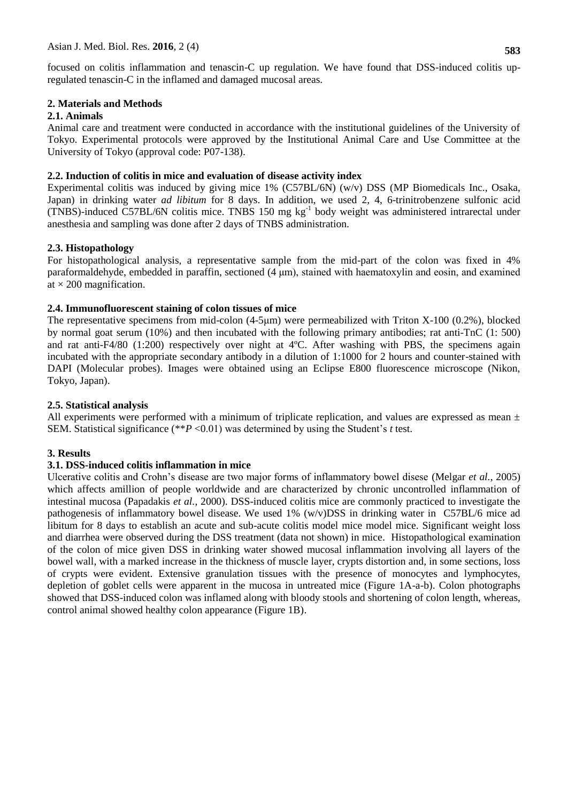focused on colitis inflammation and tenascin-C up regulation. We have found that DSS-induced colitis upregulated tenascin-C in the inflamed and damaged mucosal areas.

# **2. Materials and Methods**

# **2.1. Animals**

Animal care and treatment were conducted in accordance with the institutional guidelines of the University of Tokyo. Experimental protocols were approved by the Institutional Animal Care and Use Committee at the University of Tokyo (approval code: P07-138).

# **2.2. Induction of colitis in mice and evaluation of disease activity index**

Experimental colitis was induced by giving mice 1% (C57BL/6N) (w/v) DSS (MP Biomedicals Inc., Osaka, Japan) in drinking water *ad libitum* for 8 days. In addition, we used 2, 4, 6-trinitrobenzene sulfonic acid (TNBS)-induced C57BL/6N colitis mice. TNBS 150 mg kg<sup>-1</sup> body weight was administered intrarectal under anesthesia and sampling was done after 2 days of TNBS administration.

# **2.3. Histopathology**

For histopathological analysis, a representative sample from the mid-part of the colon was fixed in 4% paraformaldehyde, embedded in paraffin, sectioned (4 μm), stained with haematoxylin and eosin, and examined at  $\times$  200 magnification.

# **2.4. Immunofluorescent staining of colon tissues of mice**

The representative specimens from mid-colon (4-5μm) were permeabilized with Triton X-100 (0.2%), blocked by normal goat serum (10%) and then incubated with the following primary antibodies; rat anti-TnC (1: 500) and rat anti-F4/80 (1:200) respectively over night at 4ºC. After washing with PBS, the specimens again incubated with the appropriate secondary antibody in a dilution of 1:1000 for 2 hours and counter-stained with DAPI (Molecular probes). Images were obtained using an Eclipse E800 fluorescence microscope (Nikon, Tokyo, Japan).

# **2.5. Statistical analysis**

All experiments were performed with a minimum of triplicate replication, and values are expressed as mean  $\pm$ SEM. Statistical significance (\*\**P* <0.01) was determined by using the Student's *t* test.

# **3. Results**

## **3.1. DSS-induced colitis inflammation in mice**

Ulcerative colitis and Crohn's disease are two major forms of inflammatory bowel disese (Melgar *et al.*, 2005) which affects amillion of people worldwide and are characterized by chronic uncontrolled inflammation of intestinal mucosa (Papadakis *et al.*, 2000). DSS-induced colitis mice are commonly practiced to investigate the pathogenesis of inflammatory bowel disease. We used 1% (w/v)DSS in drinking water in C57BL/6 mice ad libitum for 8 days to establish an acute and sub-acute colitis model mice model mice. Significant weight loss and diarrhea were observed during the DSS treatment (data not shown) in mice. Histopathological examination of the colon of mice given DSS in drinking water showed mucosal inflammation involving all layers of the bowel wall, with a marked increase in the thickness of muscle layer, crypts distortion and, in some sections, loss of crypts were evident. Extensive granulation tissues with the presence of monocytes and lymphocytes, depletion of goblet cells were apparent in the mucosa in untreated mice (Figure 1A-a-b). Colon photographs showed that DSS-induced colon was inflamed along with bloody stools and shortening of colon length, whereas, control animal showed healthy colon appearance (Figure 1B).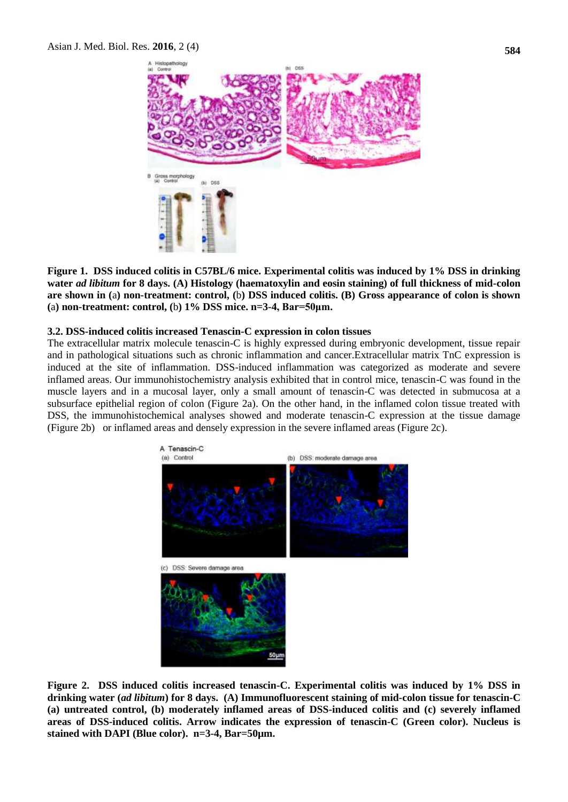

**Figure 1. DSS induced colitis in C57BL/6 mice. Experimental colitis was induced by 1% DSS in drinking water** *ad libitum* **for 8 days. (A) Histology (haematoxylin and eosin staining) of full thickness of mid-colon are shown in (**a**) non-treatment: control, (**b**) DSS induced colitis. (B) Gross appearance of colon is shown (**a**) non-treatment: control, (**b**) 1% DSS mice. n=3-4, Bar=50μm.**

#### **3.2. DSS-induced colitis increased Tenascin-C expression in colon tissues**

The extracellular matrix molecule tenascin-C is highly expressed during embryonic development, tissue repair and in pathological situations such as chronic inflammation and cancer.Extracellular matrix TnC expression is induced at the site of inflammation. DSS-induced inflammation was categorized as moderate and severe inflamed areas. Our immunohistochemistry analysis exhibited that in control mice, tenascin-C was found in the muscle layers and in a mucosal layer, only a small amount of tenascin-C was detected in submucosa at a subsurface epithelial region of colon (Figure 2a). On the other hand, in the inflamed colon tissue treated with DSS, the immunohistochemical analyses showed and moderate tenascin-C expression at the tissue damage (Figure 2b) or inflamed areas and densely expression in the severe inflamed areas (Figure 2c).



**Figure 2. DSS induced colitis increased tenascin-C. Experimental colitis was induced by 1% DSS in drinking water (***ad libitum***) for 8 days. (A) Immunofluorescent staining of mid-colon tissue for tenascin-C (a) untreated control, (b) moderately inflamed areas of DSS-induced colitis and (c) severely inflamed areas of DSS-induced colitis. Arrow indicates the expression of tenascin-C (Green color). Nucleus is stained with DAPI (Blue color). n=3-4, Bar=50µm.**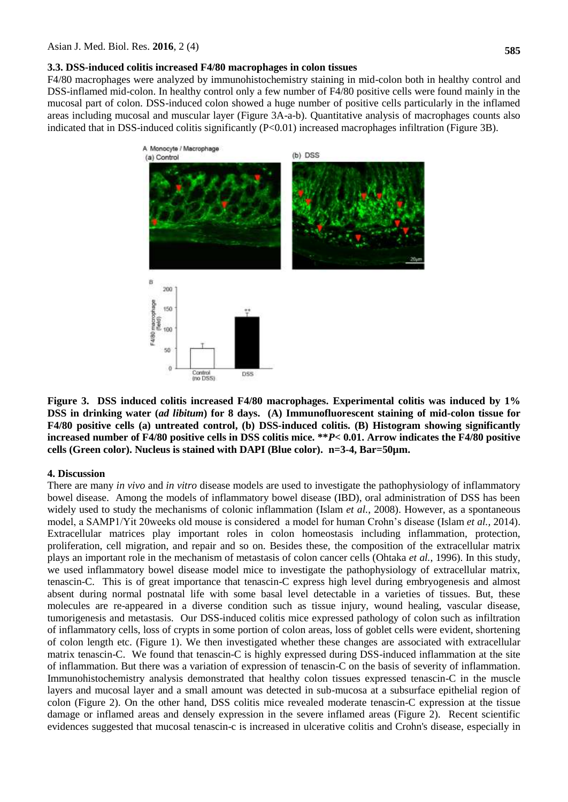#### **3.3. DSS-induced colitis increased F4/80 macrophages in colon tissues**

F4/80 macrophages were analyzed by immunohistochemistry staining in mid-colon both in healthy control and DSS-inflamed mid-colon. In healthy control only a few number of F4/80 positive cells were found mainly in the mucosal part of colon. DSS-induced colon showed a huge number of positive cells particularly in the inflamed areas including mucosal and muscular layer (Figure 3A-a-b). Quantitative analysis of macrophages counts also indicated that in DSS-induced colitis significantly  $(P<0.01)$  increased macrophages infiltration (Figure 3B).



**Figure 3. DSS induced colitis increased F4/80 macrophages. Experimental colitis was induced by 1% DSS in drinking water (***ad libitum***) for 8 days. (A) Immunofluorescent staining of mid-colon tissue for F4/80 positive cells (a) untreated control, (b) DSS-induced colitis. (B) Histogram showing significantly increased number of F4/80 positive cells in DSS colitis mice. \*\****P***< 0.01. Arrow indicates the F4/80 positive cells (Green color). Nucleus is stained with DAPI (Blue color). n=3-4, Bar=50µm.** 

### **4. Discussion**

There are many *in vivo* and *in vitro* disease models are used to investigate the pathophysiology of inflammatory bowel disease. Among the models of inflammatory bowel disease (IBD), oral administration of DSS has been widely used to study the mechanisms of colonic inflammation (Islam *et al.*, 2008). However, as a spontaneous model, a SAMP1/Yit 20weeks old mouse is considered a model for human Crohn's disease (Islam *et al.,* 2014). Extracellular matrices play important roles in colon homeostasis including inflammation, protection, proliferation, cell migration, and repair and so on. Besides these, the composition of the extracellular matrix plays an important role in the mechanism of metastasis of colon cancer cells (Ohtaka *et al.*, 1996). In this study, we used inflammatory bowel disease model mice to investigate the pathophysiology of extracellular matrix, tenascin-C. This is of great importance that tenascin-C express high level during embryogenesis and almost absent during normal postnatal life with some basal level detectable in a varieties of tissues. But, these molecules are re-appeared in a diverse condition such as tissue injury, wound healing, vascular disease, tumorigenesis and metastasis. Our DSS-induced colitis mice expressed pathology of colon such as infiltration of inflammatory cells, loss of crypts in some portion of colon areas, loss of goblet cells were evident, shortening of colon length etc. (Figure 1). We then investigated whether these changes are associated with extracellular matrix tenascin-C. We found that tenascin-C is highly expressed during DSS-induced inflammation at the site of inflammation. But there was a variation of expression of tenascin-C on the basis of severity of inflammation. Immunohistochemistry analysis demonstrated that healthy colon tissues expressed tenascin-C in the muscle layers and mucosal layer and a small amount was detected in sub-mucosa at a subsurface epithelial region of colon (Figure 2). On the other hand, DSS colitis mice revealed moderate tenascin-C expression at the tissue damage or inflamed areas and densely expression in the severe inflamed areas (Figure 2). Recent scientific evidences suggested that mucosal tenascin-c is increased in ulcerative colitis and Crohn's disease, especially in